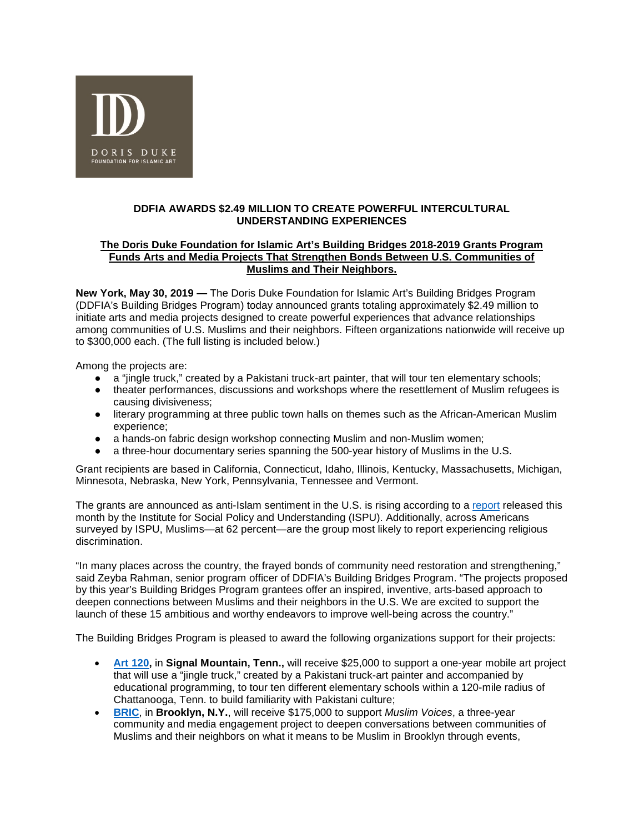

## **DDFIA AWARDS \$2.49 MILLION TO CREATE POWERFUL INTERCULTURAL UNDERSTANDING EXPERIENCES**

### **The Doris Duke Foundation for Islamic Art's Building Bridges 2018-2019 Grants Program Funds Arts and Media Projects That Strengthen Bonds Between U.S. Communities of Muslims and Their Neighbors.**

**New York, May 30, 2019 —** The Doris Duke Foundation for Islamic Art's Building Bridges Program (DDFIA's Building Bridges Program) today announced grants totaling approximately \$2.49 million to initiate arts and media projects designed to create powerful experiences that advance relationships among communities of U.S. Muslims and their neighbors. Fifteen organizations nationwide will receive up to \$300,000 each. (The full listing is included below.)

Among the projects are:

- a "jingle truck," created by a Pakistani truck-art painter, that will tour ten elementary schools;
- theater performances, discussions and workshops where the resettlement of Muslim refugees is causing divisiveness;
- literary programming at three public town halls on themes such as the African-American Muslim experience;
- a hands-on fabric design workshop connecting Muslim and non-Muslim women;
- a three-hour documentary series spanning the 500-year history of Muslims in the U.S.

Grant recipients are based in California, Connecticut, Idaho, Illinois, Kentucky, Massachusetts, Michigan, Minnesota, Nebraska, New York, Pennsylvania, Tennessee and Vermont.

The grants are announced as anti-Islam sentiment in the U.S. is rising according to a [report](https://www.ispu.org/american-muslim-poll-2019-predicting-and-preventing-islamophobia/) released this month by the Institute for Social Policy and Understanding (ISPU). Additionally, across Americans surveyed by ISPU, Muslims—at 62 percent—are the group most likely to report experiencing religious discrimination.

"In many places across the country, the frayed bonds of community need restoration and strengthening," said Zeyba Rahman, senior program officer of DDFIA's Building Bridges Program. "The projects proposed by this year's Building Bridges Program grantees offer an inspired, inventive, arts-based approach to deepen connections between Muslims and their neighbors in the U.S. We are excited to support the launch of these 15 ambitious and worthy endeavors to improve well-being across the country."

The Building Bridges Program is pleased to award the following organizations support for their projects:

- **[Art 120,](http://art120.org/)** in **Signal Mountain, Tenn.,** will receive \$25,000 to support a one-year mobile art project that will use a "jingle truck," created by a Pakistani truck-art painter and accompanied by educational programming, to tour ten different elementary schools within a 120-mile radius of Chattanooga, Tenn. to build familiarity with Pakistani culture;
- **[BRIC](https://www.bricartsmedia.org/)**, in **Brooklyn, N.Y.**, will receive \$175,000 to support *Muslim Voices*, a three-year community and media engagement project to deepen conversations between communities of Muslims and their neighbors on what it means to be Muslim in Brooklyn through events,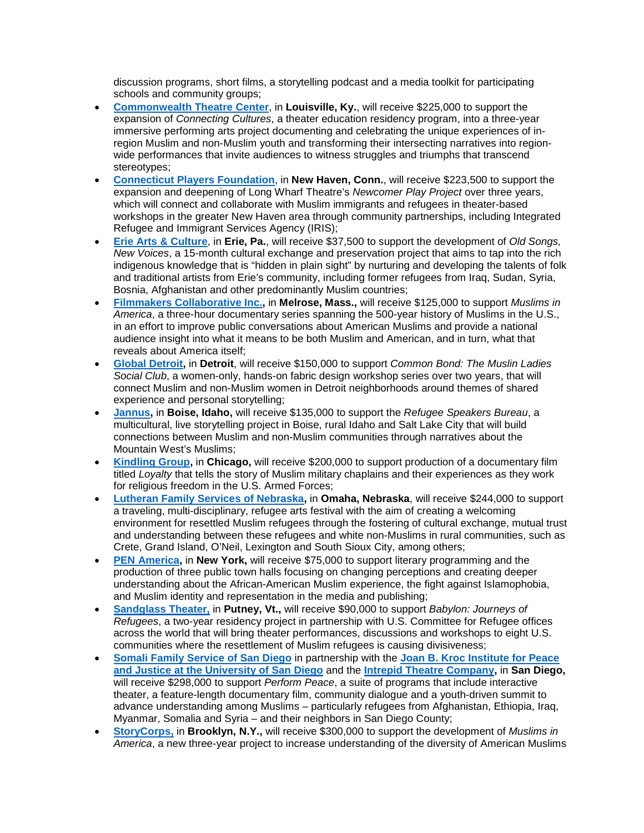discussion programs, short films, a storytelling podcast and a media toolkit for participating schools and community groups;

- **[Commonwealth Theatre Center](https://www.commonwealththeatre.org/)**, in **Louisville, Ky.**, will receive \$225,000 to support the expansion of *Connecting Cultures*, a theater education residency program, into a three-year immersive performing arts project documenting and celebrating the unique experiences of inregion Muslim and non-Muslim youth and transforming their intersecting narratives into regionwide performances that invite audiences to witness struggles and triumphs that transcend stereotypes;
- **[Connecticut Players Foundation](https://www.longwharf.org/)**, in **New Haven, Conn.**, will receive \$223,500 to support the expansion and deepening of Long Wharf Theatre's *Newcomer Play Project* over three years, which will connect and collaborate with Muslim immigrants and refugees in theater-based workshops in the greater New Haven area through community partnerships, including Integrated Refugee and Immigrant Services Agency (IRIS);
- **[Erie Arts &](https://www.erieartsandculture.org/) Culture**, in **Erie, Pa.**, will receive \$37,500 to support the development of *Old Songs, New Voices*, a 15-month cultural exchange and preservation project that aims to tap into the rich indigenous knowledge that is "hidden in plain sight" by nurturing and developing the talents of folk and traditional artists from Erie's community, including former refugees from Iraq, Sudan, Syria, Bosnia, Afghanistan and other predominantly Muslim countries;
- **[Filmmakers Collaborative Inc.,](https://filmmakerscollab.org/)** in **Melrose, Mass.,** will receive \$125,000 to support *Muslims in America*, a three-hour documentary series spanning the 500-year history of Muslims in the U.S., in an effort to improve public conversations about American Muslims and provide a national audience insight into what it means to be both Muslim and American, and in turn, what that reveals about America itself;
- **[Global Detroit,](http://www.globaldetroit.com/)** in **Detroit**, will receive \$150,000 to support *Common Bond: The Muslin Ladies Social Club*, a women-only, hands-on fabric design workshop series over two years, that will connect Muslim and non-Muslim women in Detroit neighborhoods around themes of shared experience and personal storytelling;
- **[Jannus,](https://www.jannus.org/)** in **Boise, Idaho,** will receive \$135,000 to support the *Refugee Speakers Bureau*, a multicultural, live storytelling project in Boise, rural Idaho and Salt Lake City that will build connections between Muslim and non-Muslim communities through narratives about the Mountain West's Muslims;
- **[Kindling Group,](https://www.kindlinggroup.org/)** in **Chicago,** will receive \$200,000 to support production of a documentary film titled *Loyalty* that tells the story of Muslim military chaplains and their experiences as they work for religious freedom in the U.S. Armed Forces;
- **[Lutheran Family Services of Nebraska,](https://www.lfsneb.org/)** in **Omaha, Nebraska**, will receive \$244,000 to support a traveling, multi-disciplinary, refugee arts festival with the aim of creating a welcoming environment for resettled Muslim refugees through the fostering of cultural exchange, mutual trust and understanding between these refugees and white non-Muslims in rural communities, such as Crete, Grand Island, O'Neil, Lexington and South Sioux City, among others;
- **[PEN America,](https://pen.org/)** in **New York,** will receive \$75,000 to support literary programming and the production of three public town halls focusing on changing perceptions and creating deeper understanding about the African-American Muslim experience, the fight against Islamophobia, and Muslim identity and representation in the media and publishing;
- **[Sandglass Theater,](https://www.sandglasstheater.org/shows/current/babylon)** in **Putney, Vt.,** will receive \$90,000 to support *Babylon: Journeys of Refugees*, a two-year residency project in partnership with U.S. Committee for Refugee offices across the world that will bring theater performances, discussions and workshops to eight U.S. communities where the resettlement of Muslim refugees is causing divisiveness;
- **[Somali Family Service of San Diego](https://www.somalifamilyservice.org/)** in partnership with the **[Joan B. Kroc Institute for](https://www.sandiego.edu/peace/institutes/ipj/) Peace [and Justice at the University of San Diego](https://www.sandiego.edu/peace/institutes/ipj/)** and the **[Intrepid Theatre Company,](http://www.intrepidtheatre.org/)** in **San Diego,**  will receive \$298,000 to support *Perform Peace*, a suite of programs that include interactive theater, a feature-length documentary film, community dialogue and a youth-driven summit to advance understanding among Muslims – particularly refugees from Afghanistan, Ethiopia, Iraq, Myanmar, Somalia and Syria – and their neighbors in San Diego County;
- **[StoryCorps,](https://storycorps.org/)** in **Brooklyn, N.Y.,** will receive \$300,000 to support the development of *Muslims in America*, a new three-year project to increase understanding of the diversity of American Muslims